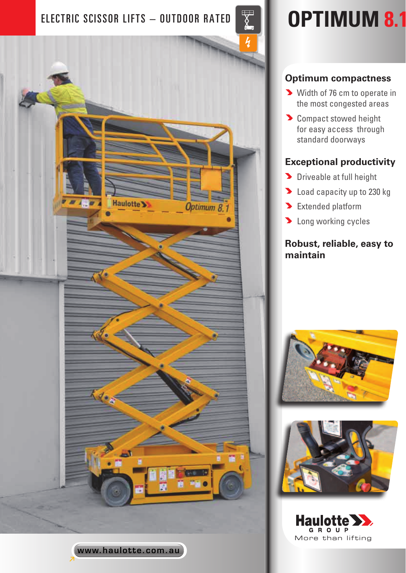# ELECTRIC SCISSOR LIFTS – OUTDOOR RATED **OPTIMUM 8.1**



www.haulotte.com.au

# **Optimum compactness**

- Width of 76 cm to operate in the most congested areas
- **Compact stowed height** for easy access through standard doorways

# **Exceptional productivity**

- **Driveable at full height**
- **Load capacity up to 230 kg**
- **Extended platform**
- **D** Long working cycles

## **Robust, reliable, easy to maintain**





GROUP More than lifting